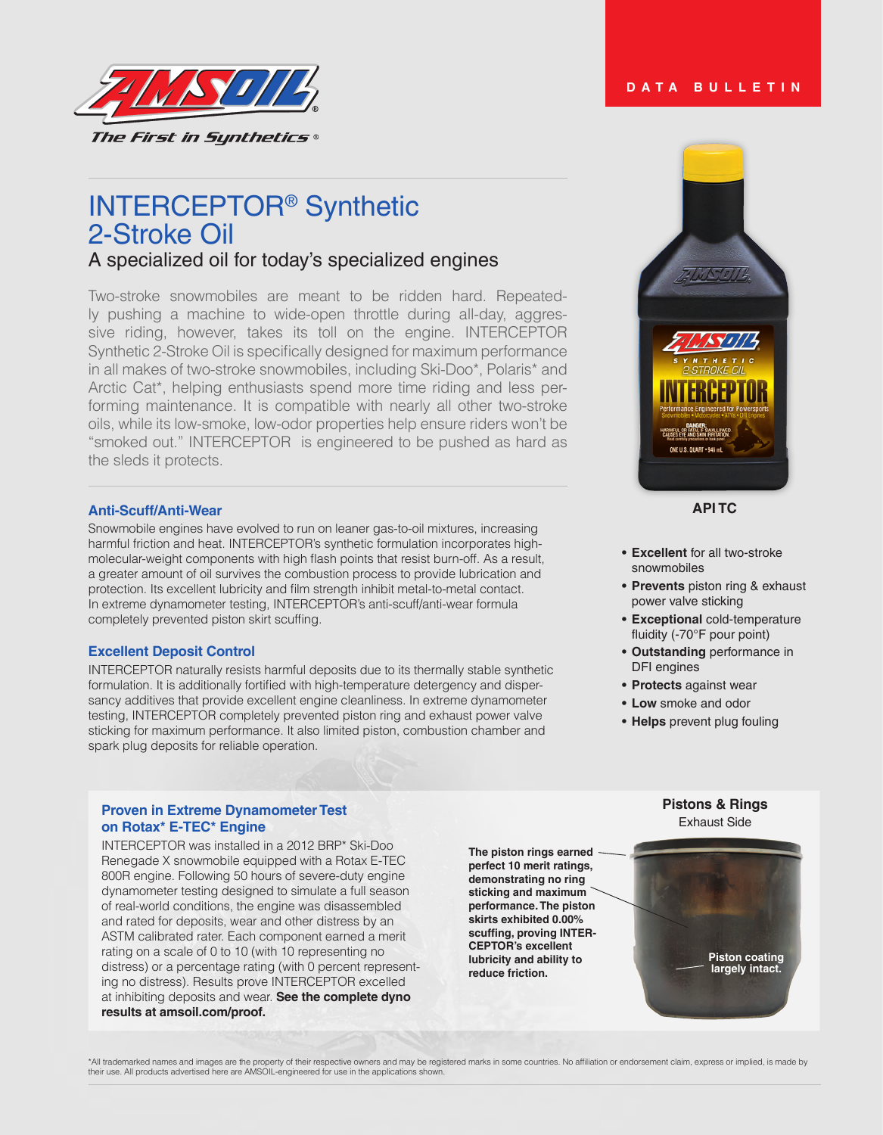

# INTERCEPTOR® Synthetic 2-Stroke Oil

## A specialized oil for today's specialized engines

Two-stroke snowmobiles are meant to be ridden hard. Repeatedly pushing a machine to wide-open throttle during all-day, aggressive riding, however, takes its toll on the engine. INTERCEPTOR Synthetic 2-Stroke Oil is specifically designed for maximum performance in all makes of two-stroke snowmobiles, including Ski-Doo\*, Polaris\* and Arctic Cat\*, helping enthusiasts spend more time riding and less performing maintenance. It is compatible with nearly all other two-stroke oils, while its low-smoke, low-odor properties help ensure riders won't be "smoked out." INTERCEPTOR is engineered to be pushed as hard as the sleds it protects.

## **Anti-Scuff/Anti-Wear**

Snowmobile engines have evolved to run on leaner gas-to-oil mixtures, increasing harmful friction and heat. INTERCEPTOR's synthetic formulation incorporates highmolecular-weight components with high flash points that resist burn-off. As a result, a greater amount of oil survives the combustion process to provide lubrication and protection. Its excellent lubricity and film strength inhibit metal-to-metal contact. In extreme dynamometer testing, INTERCEPTOR's anti-scuff/anti-wear formula completely prevented piston skirt scuffing.

### **Excellent Deposit Control**

INTERCEPTOR naturally resists harmful deposits due to its thermally stable synthetic formulation. It is additionally fortified with high-temperature detergency and dispersancy additives that provide excellent engine cleanliness. In extreme dynamometer testing, INTERCEPTOR completely prevented piston ring and exhaust power valve sticking for maximum performance. It also limited piston, combustion chamber and spark plug deposits for reliable operation.

#### Exhaust Side **Proven in Extreme Dynamometer Test on Rotax\* E-TEC\* Engine**

INTERCEPTOR was installed in a 2012 BRP\* Ski-Doo Renegade X snowmobile equipped with a Rotax E-TEC 800R engine. Following 50 hours of severe-duty engine dynamometer testing designed to simulate a full season of real-world conditions, the engine was disassembled and rated for deposits, wear and other distress by an ASTM calibrated rater. Each component earned a merit rating on a scale of 0 to 10 (with 10 representing no distress) or a percentage rating (with 0 percent representing no distress). Results prove INTERCEPTOR excelled at inhibiting deposits and wear. **See the complete dyno results at amsoil.com/proof.**

**The piston rings earned perfect 10 merit ratings, demonstrating no ring sticking and maximum performance. The piston skirts exhibited 0.00% scuffing, proving INTER-CEPTOR's excellent lubricity and ability to reduce friction.**





## **API TC**

- **• Excellent** for all two-stroke snowmobiles
- **• Prevents** piston ring & exhaust power valve sticking
- **• Exceptional** cold-temperature fluidity (-70°F pour point)
- **• Outstanding** performance in DFI engines
- **• Protects** against wear
- **• Low** smoke and odor
- **• Helps** prevent plug fouling

# **Pistons & Rings**

**Piston coating largely intact.**

\*All trademarked names and images are the property of their respective owners and may be registered marks in some countries. No affiliation or endorsement claim, express or implied, is made by their use. All products advertised here are AMSOIL-engineered for use in the applications shown.